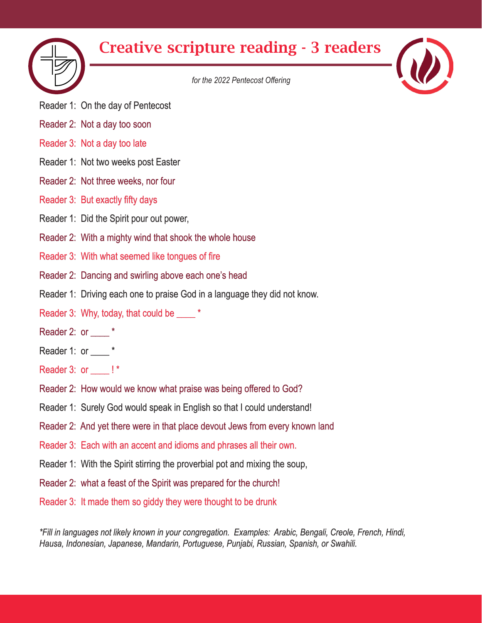

## Creative scripture reading - 3 readers

*for the 2022 Pentecost Offering*

- Reader 1: On the day of Pentecost
- Reader 2: Not a day too soon
- Reader 3: Not a day too late
- Reader 1: Not two weeks post Easter
- Reader 2: Not three weeks, nor four
- Reader 3: But exactly fifty days
- Reader 1: Did the Spirit pour out power,
- Reader 2: With a mighty wind that shook the whole house
- Reader 3: With what seemed like tongues of fire
- Reader 2: Dancing and swirling above each one's head
- Reader 1: Driving each one to praise God in a language they did not know.
- Reader 3: Why, today, that could be \_\_\_\_\_ \*
- Reader 2: or  $*$
- Reader 1: or \_\_\_\_\*
- Reader 3: or \_\_\_\_ ! \*
- Reader 2: How would we know what praise was being offered to God?
- Reader 1: Surely God would speak in English so that I could understand!
- Reader 2: And yet there were in that place devout Jews from every known land
- Reader 3: Each with an accent and idioms and phrases all their own.
- Reader 1: With the Spirit stirring the proverbial pot and mixing the soup,
- Reader 2: what a feast of the Spirit was prepared for the church!
- Reader 3: It made them so giddy they were thought to be drunk

*\*Fill in languages not likely known in your congregation. Examples: Arabic, Bengali, Creole, French, Hindi, Hausa, Indonesian, Japanese, Mandarin, Portuguese, Punjabi, Russian, Spanish, or Swahili.*